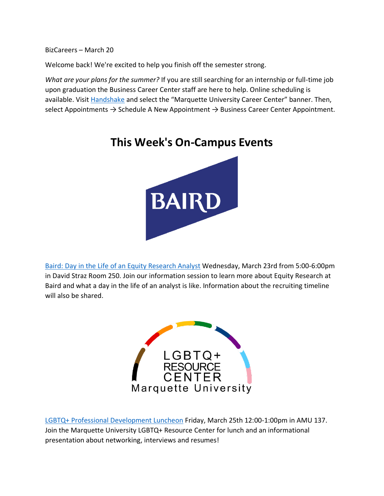BizCareers – March 20

Welcome back! We're excited to help you finish off the semester strong.

*What are your plans for the summer?* If you are still searching for an internship or full-time job upon graduation the Business Career Center staff are here to help. Online scheduling is available. Visit **Handshake** and select the "Marquette University Career Center" banner. Then, select Appointments  $\rightarrow$  Schedule A New Appointment  $\rightarrow$  Business Career Center Appointment.

**This Week's On-Campus Events**

# **BAIRD**

[Baird: Day in the Life of an Equity Research Analyst](https://marquette.joinhandshake.com/events/985061/share_preview) Wednesday, March 23rd from 5:00-6:00pm in David Straz Room 250. Join our information session to learn more about Equity Research at Baird and what a day in the life of an analyst is like. Information about the recruiting timeline will also be shared.



[LGBTQ+ Professional Development Luncheon](https://marquette.joinhandshake.com/events/999165/share_preview) Friday, March 25th 12:00-1:00pm in AMU 137. Join the Marquette University LGBTQ+ Resource Center for lunch and an informational presentation about networking, interviews and resumes!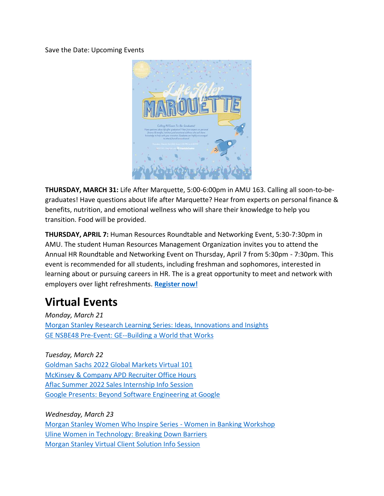Save the Date: Upcoming Events



**THURSDAY, MARCH 31:** Life After Marquette, 5:00-6:00pm in AMU 163. Calling all soon-to-begraduates! Have questions about life after Marquette? Hear from experts on personal finance & benefits, nutrition, and emotional wellness who will share their knowledge to help you transition. Food will be provided.

**THURSDAY, APRIL 7:** Human Resources Roundtable and Networking Event, 5:30-7:30pm in AMU. The student Human Resources Management Organization invites you to attend the Annual HR Roundtable and Networking Event on Thursday, April 7 from 5:30pm - 7:30pm. This event is recommended for all students, including freshman and sophomores, interested in learning about or pursuing careers in HR. The is a great opportunity to meet and network with employers over light refreshments. **[Register now!](https://marquette.joinhandshake.com/career_fairs/31467/student_preview?token=SWPc1mX8Q72ncIjj3QEZJqhFtXhc5p88UlopwIaOIX1rlgtSHJey7g)**

# **Virtual Events**

*Monday, March 21* [Morgan Stanley Research Learning Series: Ideas, Innovations and Insights](https://marquette.joinhandshake.com/events/973606/share_preview) [GE NSBE48 Pre-Event: GE--Building a World that Works](https://marquette.joinhandshake.com/events/1002596/share_preview)

*Tuesday, March 22* [Goldman Sachs 2022 Global Markets Virtual 101](https://marquette.joinhandshake.com/edu/events/990984) [McKinsey & Company APD Recruiter Office Hours](https://marquette.joinhandshake.com/events/998538/share_preview) [Aflac Summer 2022 Sales Internship Info Session](https://marquette.joinhandshake.com/events/1005563/share_preview) [Google Presents: Beyond Software Engineering at Google](https://marquette.joinhandshake.com/events/992952/share_preview)

*Wednesday, March 23* [Morgan Stanley Women Who Inspire Series -](https://marquette.joinhandshake.com/events/993748/share_preview) Women in Banking Workshop [Uline Women in Technology: Breaking Down Barriers](https://marquette.joinhandshake.com/events/999638/share_preview) [Morgan Stanley Virtual Client Solution Info Session](https://marquette.joinhandshake.com/events/1002075/share_preview)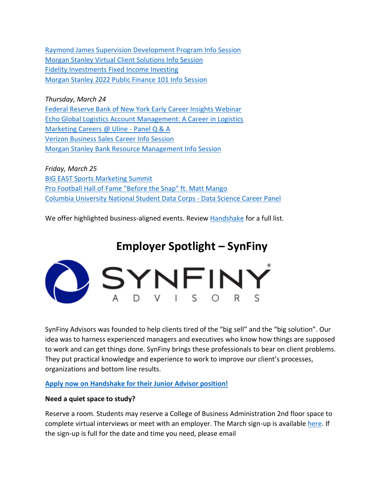[Raymond James Supervision Development Program Info Session](https://marquette.joinhandshake.com/events/993135/share_preview) [Morgan Stanley Virtual Client Solutions Info Session](https://marquette.joinhandshake.com/events/1006544/share_preview) [Fidelity Investments Fixed Income Investing](https://marquette.joinhandshake.com/events/998314/share_preview) [Morgan Stanley 2022 Public Finance 101 Info Session](https://marquette.joinhandshake.com/events/1001160/share_preview)

*Thursday, March 24* [Federal Reserve Bank of New York Early Career Insights Webinar](https://marquette.joinhandshake.com/events/999603/share_preview) [Echo Global Logistics Account Management: A Career in Logistics](https://marquette.joinhandshake.com/events/1001889/share_preview) [Marketing Careers @ Uline -](https://marquette.joinhandshake.com/events/991033/share_preview) Panel Q & A [Verizon Business Sales Career Info Session](https://marquette.joinhandshake.com/events/1000481/share_preview) [Morgan Stanley Bank Resource Management Info Session](https://marquette.joinhandshake.com/events/964176/share_preview)

*Friday, March 25* [BIG EAST Sports Marketing Summit](https://marquette.joinhandshake.com/events/993095/share_preview) [Pro Football Hall of Fame "Before the Snap" ft. Matt Mango](https://marquette.joinhandshake.com/events/994109/share_preview) [Columbia University National Student Data Corps -](https://marquette.joinhandshake.com/events/996425/share_preview) Data Science Career Panel

We offer highlighted business-aligned events. Review [Handshake](https://marquette.joinhandshake.com/edu/events) for a full list.

# **Employer Spotlight – SynFiny**



SynFiny Advisors was founded to help clients tired of the "big sell" and the "big solution". Our idea was to harness experienced managers and executives who know how things are supposed to work and can get things done. SynFiny brings these professionals to bear on client problems. They put practical knowledge and experience to work to improve our client's processes, organizations and bottom line results.

## **[Apply now on Handshake for their Junior Advisor position!](https://marquette.joinhandshake.com/jobs/5269807/share_preview)**

### **Need a quiet space to study?**

Reserve a room. Students may reserve a College of Business Administration 2nd floor space to complete virtual interviews or meet with an employer. The March sign-up is availabl[e here.](https://www.signupgenius.com/go/10c044fada92ba5f85-location) If the sign-up is full for the date and time you need, please email